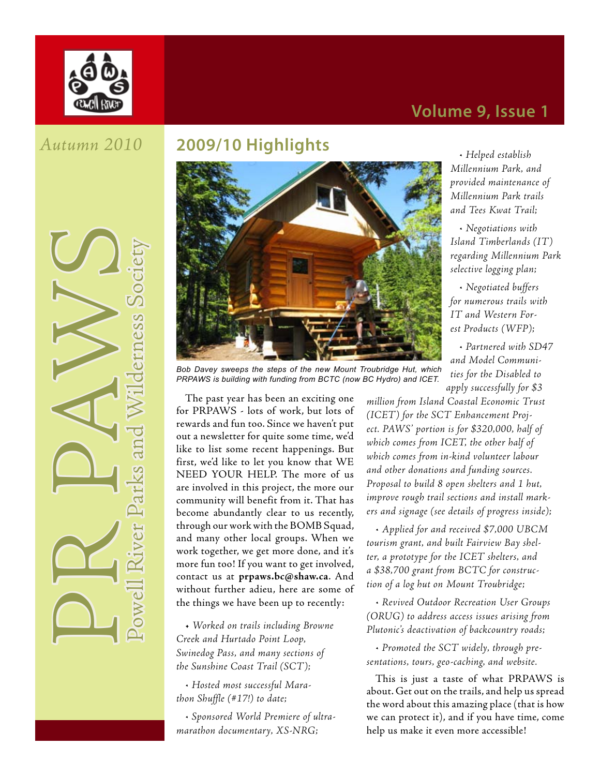

### **Volume 9, Issue 1**

#### *Autumn 2010*

**PR PAWilderness Society** 

### **2009/10 Highlights**



*Bob Davey sweeps the steps of the new Mount Troubridge Hut, which PRPAWS is building with funding from BCTC (now BC Hydro) and ICET.*

The past year has been an exciting one for PRPAWS - lots of work, but lots of rewards and fun too. Since we haven't put out a newsletter for quite some time, we'd like to list some recent happenings. But first, we'd like to let you know that WE NEED YOUR HELP. The more of us are involved in this project, the more our community will benefit from it. That has become abundantly clear to us recently, through our work with the BOMB Squad, and many other local groups. When we work together, we get more done, and it's more fun too! If you want to get involved, contact us at **prpaws.bc@shaw.ca**. And without further adieu, here are some of the things we have been up to recently:

• *Worked on trails including Browne Creek and Hurtado Point Loop, Swinedog Pass, and many sections of the Sunshine Coast Trail (SCT);*

*• Hosted most successful Marathon Shuffle (#17!) to date;*

*• Sponsored World Premiere of ultramarathon documentary, XS-NRG;*

*• Helped establish Millennium Park, and provided maintenance of Millennium Park trails and Tees Kwat Trail;*

*• Negotiations with Island Timberlands (IT) regarding Millennium Park selective logging plan;*

*• Negotiated buffers for numerous trails with IT and Western Forest Products (WFP);*

*• Partnered with SD47 and Model Communities for the Disabled to apply successfully for \$3* 

*million from Island Coastal Economic Trust (ICET) for the SCT Enhancement Project. PAWS' portion is for \$320,000, half of which comes from ICET, the other half of which comes from in-kind volunteer labour and other donations and funding sources. Proposal to build 8 open shelters and 1 hut, improve rough trail sections and install markers and signage (see details of progress inside);*

*• Applied for and received \$7,000 UBCM tourism grant, and built Fairview Bay shelter, a prototype for the ICET shelters, and a \$38,700 grant from BCTC for construction of a log hut on Mount Troubridge;*

*• Revived Outdoor Recreation User Groups (ORUG) to address access issues arising from Plutonic's deactivation of backcountry roads;*

*• Promoted the SCT widely, through presentations, tours, geo-caching, and website.*

This is just a taste of what PRPAWS is about. Get out on the trails, and help us spread the word about this amazing place (that is how we can protect it), and if you have time, come help us make it even more accessible!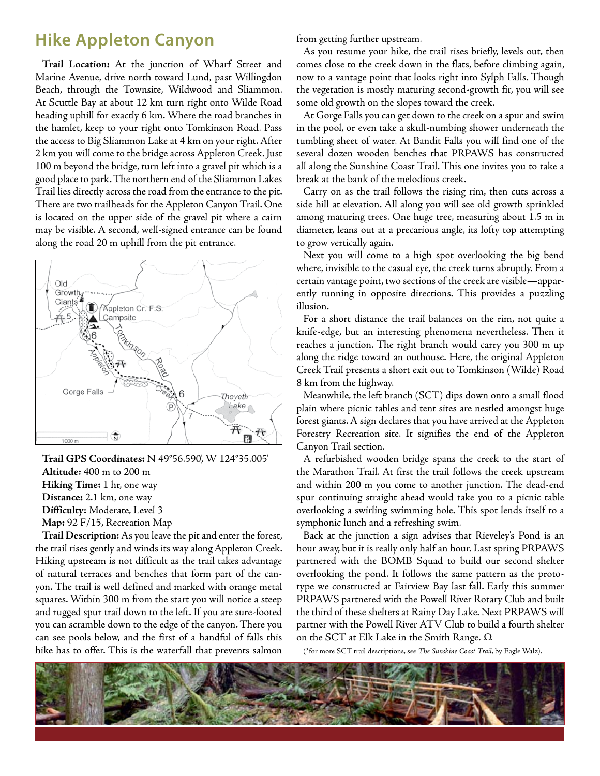### **Hike Appleton Canyon**

**Trail Location:** At the junction of Wharf Street and Marine Avenue, drive north toward Lund, past Willingdon Beach, through the Townsite, Wildwood and Sliammon. At Scuttle Bay at about 12 km turn right onto Wilde Road heading uphill for exactly 6 km. Where the road branches in the hamlet, keep to your right onto Tomkinson Road. Pass the access to Big Sliammon Lake at 4 km on your right. After 2 km you will come to the bridge across Appleton Creek. Just 100 m beyond the bridge, turn left into a gravel pit which is a good place to park. The northern end of the Sliammon Lakes Trail lies directly across the road from the entrance to the pit. There are two trailheads for the Appleton Canyon Trail. One is located on the upper side of the gravel pit where a cairn may be visible. A second, well-signed entrance can be found along the road 20 m uphill from the pit entrance.



**Trail GPS Coordinates:** N 49°56.590', W 124°35.005' **Altitude:** 400 m to 200 m **Hiking Time:** 1 hr, one way **Distance:** 2.1 km, one way **Difficulty:** Moderate, Level 3 **Map:** 92 F/15, Recreation Map

**Trail Description:** As you leave the pit and enter the forest, the trail rises gently and winds its way along Appleton Creek. Hiking upstream is not difficult as the trail takes advantage of natural terraces and benches that form part of the canyon. The trail is well defined and marked with orange metal squares. Within 300 m from the start you will notice a steep and rugged spur trail down to the left. If you are sure-footed you can scramble down to the edge of the canyon. There you can see pools below, and the first of a handful of falls this hike has to offer. This is the waterfall that prevents salmon

from getting further upstream.

As you resume your hike, the trail rises briefly, levels out, then comes close to the creek down in the flats, before climbing again, now to a vantage point that looks right into Sylph Falls. Though the vegetation is mostly maturing second-growth fir, you will see some old growth on the slopes toward the creek.

At Gorge Falls you can get down to the creek on a spur and swim in the pool, or even take a skull-numbing shower underneath the tumbling sheet of water. At Bandit Falls you will find one of the several dozen wooden benches that PRPAWS has constructed all along the Sunshine Coast Trail. This one invites you to take a break at the bank of the melodious creek.

Carry on as the trail follows the rising rim, then cuts across a side hill at elevation. All along you will see old growth sprinkled among maturing trees. One huge tree, measuring about 1.5 m in diameter, leans out at a precarious angle, its lofty top attempting to grow vertically again.

Next you will come to a high spot overlooking the big bend where, invisible to the casual eye, the creek turns abruptly. From a certain vantage point, two sections of the creek are visible—apparently running in opposite directions. This provides a puzzling illusion.

For a short distance the trail balances on the rim, not quite a knife-edge, but an interesting phenomena nevertheless. Then it reaches a junction. The right branch would carry you 300 m up along the ridge toward an outhouse. Here, the original Appleton Creek Trail presents a short exit out to Tomkinson (Wilde) Road 8 km from the highway.

Meanwhile, the left branch (SCT) dips down onto a small flood plain where picnic tables and tent sites are nestled amongst huge forest giants. A sign declares that you have arrived at the Appleton Forestry Recreation site. It signifies the end of the Appleton Canyon Trail section.

A refurbished wooden bridge spans the creek to the start of the Marathon Trail. At first the trail follows the creek upstream and within 200 m you come to another junction. The dead-end spur continuing straight ahead would take you to a picnic table overlooking a swirling swimming hole. This spot lends itself to a symphonic lunch and a refreshing swim.

Back at the junction a sign advises that Rieveley's Pond is an hour away, but it is really only half an hour. Last spring PRPAWS partnered with the BOMB Squad to build our second shelter overlooking the pond. It follows the same pattern as the prototype we constructed at Fairview Bay last fall. Early this summer PRPAWS partnered with the Powell River Rotary Club and built the third of these shelters at Rainy Day Lake. Next PRPAWS will partner with the Powell River ATV Club to build a fourth shelter on the SCT at Elk Lake in the Smith Range. Ω

(\*for more SCT trail descriptions, see *The Sunshine Coast Trail*, by Eagle Walz).

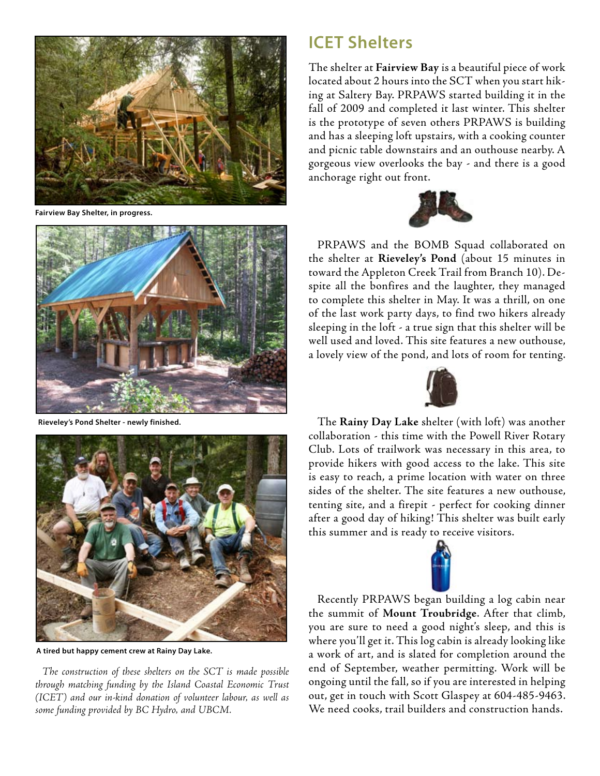

**Fairview Bay Shelter, in progress.**



**Rieveley's Pond Shelter - newly finished.**



**A tired but happy cement crew at Rainy Day Lake.**

*The construction of these shelters on the SCT is made possible through matching funding by the Island Coastal Economic Trust (ICET) and our in-kind donation of volunteer labour, as well as some funding provided by BC Hydro, and UBCM.*

### **ICET Shelters**

The shelter at **Fairview Bay** is a beautiful piece of work located about 2 hours into the SCT when you start hiking at Saltery Bay. PRPAWS started building it in the fall of 2009 and completed it last winter. This shelter is the prototype of seven others PRPAWS is building and has a sleeping loft upstairs, with a cooking counter and picnic table downstairs and an outhouse nearby. A gorgeous view overlooks the bay - and there is a good anchorage right out front.



PRPAWS and the BOMB Squad collaborated on the shelter at **Rieveley's Pond** (about 15 minutes in toward the Appleton Creek Trail from Branch 10). Despite all the bonfires and the laughter, they managed to complete this shelter in May. It was a thrill, on one of the last work party days, to find two hikers already sleeping in the loft - a true sign that this shelter will be well used and loved. This site features a new outhouse, a lovely view of the pond, and lots of room for tenting.



The **Rainy Day Lake** shelter (with loft) was another collaboration - this time with the Powell River Rotary Club. Lots of trailwork was necessary in this area, to provide hikers with good access to the lake. This site is easy to reach, a prime location with water on three sides of the shelter. The site features a new outhouse, tenting site, and a firepit - perfect for cooking dinner after a good day of hiking! This shelter was built early this summer and is ready to receive visitors.



Recently PRPAWS began building a log cabin near the summit of **Mount Troubridge**. After that climb, you are sure to need a good night's sleep, and this is where you'll get it. This log cabin is already looking like a work of art, and is slated for completion around the end of September, weather permitting. Work will be ongoing until the fall, so if you are interested in helping out, get in touch with Scott Glaspey at 604-485-9463. We need cooks, trail builders and construction hands.